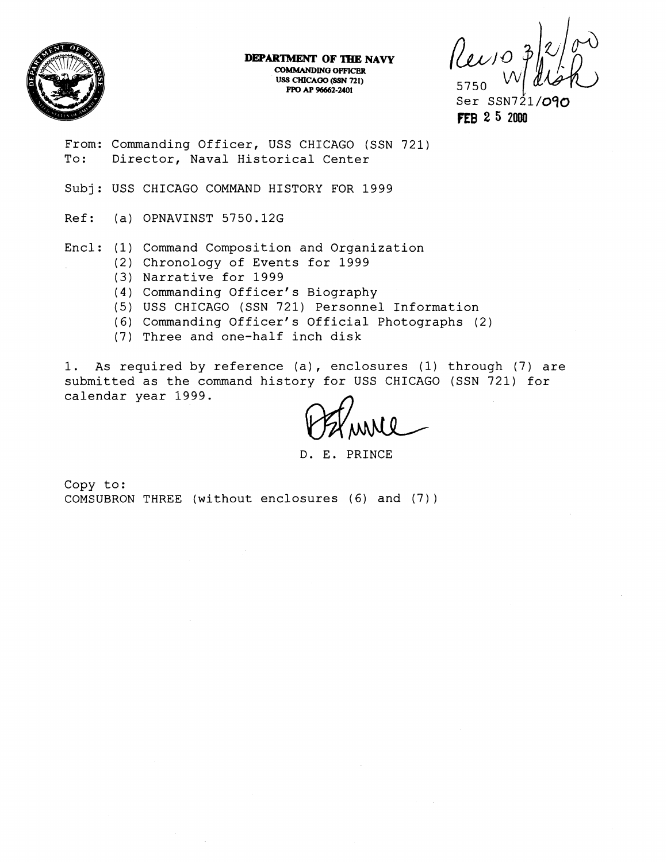

**DEPARTMENT OF THE NAVY COMMANDING OFFICER USS CHICAGO (SSN 721) PFO AP 96662-2401** 

 $\frac{1}{2750}$  W

 $Ser$  SSN721/ $O$ **FER 2 5 2000** 

From: Commanding Officer, USS CHICAGO (SSN 721) To: Director, Naval Historical Center

Subj: USS CHICAGO COMMAND HISTORY FOR 1999

Ref: (a) OPNAVINST 5750.126

Encl: (1) Command Composition and Organization

- (2) Chronology of Events for 1999
- (3) Narrative for 1999
- (4) Commanding Officer's Biography
- (5) USS CHICAGO (SSN 721) Personnel Information
- (6) Commanding Officer's Official Photographs (2)
- (7) Three and one-half inch disk

1. As required by reference (a), enclosures (1) through (7) are submitted as the command history for USS CHICAGO (SSN 721) for calendar year 1999.

D. E. PRINCE

Copy to: COMSUBRON THREE (without enclosures (6) and (7))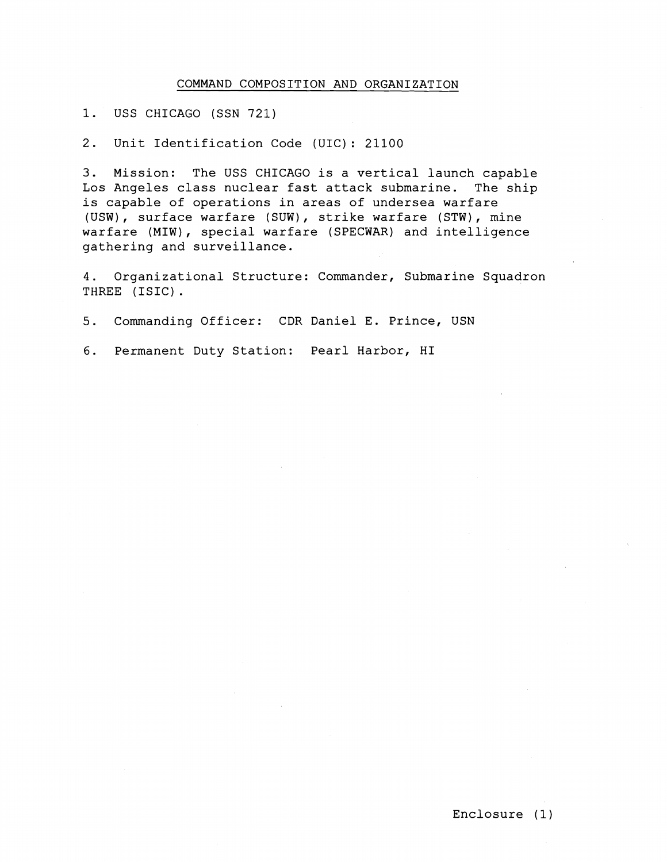## COMMAND COMPOSITION AND ORGANIZATION

1. USS CHICAGO (SSN 721)

2. Unit Identification Code (UIC) : <sup>21100</sup>

3. Mission: The USS CHICAGO is a vertical launch capable Los Angeles class nuclear fast attack submarine. The ship is capable of operations in areas of undersea warfare (USW) , surface warfare (SUW) , strike warfare (STW) , mine warfare (MIW), special warfare (SPECWAR) and intelligence gathering and surveillance.

4. Organizational Structure: Commander, Submarine Squadron THREE (ISIC) .

5. Commanding Officer: CDR Daniel E. Prince, USN

6. Permanent Duty Station: Pearl Harbor, HI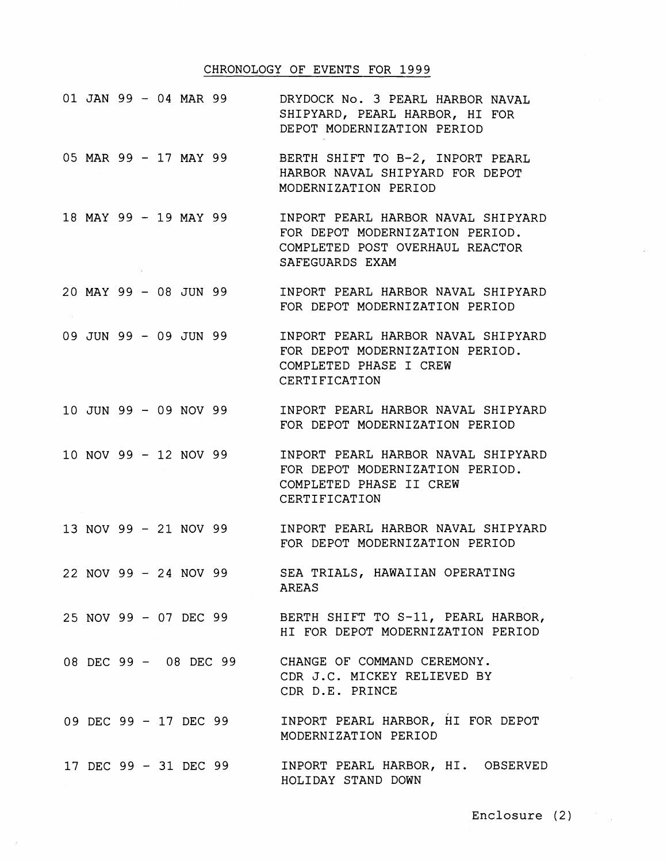## CHRONOLOGY OF EVENTS FOR 1999

- 01 JAN 99 04 MAR 99 DRYDOCK NO. 3 PEARL HARBOR NAVAL SHIPYARD, PEARL HARBOR, HI FOR DEPOT MODERNIZATION PERIOD
- 05 MAR 99 17 MAY 99 BERTH SHIFT TO B-2, INPORT PEARL HARBOR NAVAL SHIPYARD FOR DEPOT MODERNIZATION PERIOD
- 18 MAY 99 19 MAY 99 INPORT PEARL HARBOR NAVAL SHIPYARD FOR DEPOT MODERNIZATION PERIOD. COMPLETED POST OVERHAUL REACTOR SAFEGUARDS EXAM
- 20 MAY 99 08 JUN 99 INPORT PEARL HARBOR NAVAL SHIPYARD FOR DEPOT MODERNIZATION PERIOD
- 09 JUN 99 09 JUN 99 INPORT PEARL HARBOR NAVAL SHIPYARD FOR DEPOT MODERNIZATION PERIOD. COMPLETED PHASE I CREW CERTIFICATION
- 10 JUN 99 09 NOV 99 INPORT PEARL HARBOR NAVAL SHIPYARD FOR DEPOT MODERNIZATION PERIOD
- 10 NOV 99 12 NOV 99 INPORT PEARL HARBOR NAVAL SHIPYARD FOR DEPOT MODERNIZATION PERIOD. COMPLETED PHASE I1 CREW CERTIFICATION
- 13 NOV 99 21 NOV 99 INPORT PEARL HARBOR NAVAL SHIPYARD FOR DEPOT MODERNIZATION PERIOD
- 22 NOV 99 24 NOV 99 SEA TRIALS, HAWAIIAN OPERATING AREAS
- 25 NOV 99 07 DEC 99 BERTH SHIFT TO S-11, PEARL HARBOR, HI FOR DEPOT MODERNIZATION PERIOD
- 08 DEC 99 08 DEC 99 CHANGE OF COMMAND CEREMONY. CDR J.C. MICKEY RELIEVED BY CDR D.E. PRINCE
- 09 DEC 99 17 DEC 99 INPORT PEARL HARBOR, HI FOR DEPOT MODERNIZATION PERIOD
- 17 DEC 99 31 DEC 99 INPORT PEARL HARBOR, HI. OBSERVED HOLIDAY STAND DOWN

Enclosure (2)